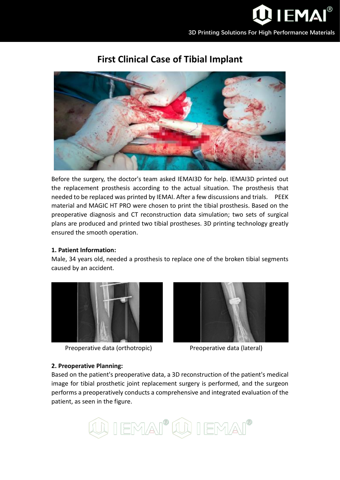

# **First Clinical Case of Tibial Implant**



Before the surgery, the doctor's team asked IEMAI3D for help. IEMAI3D printed out the replacement prosthesis according to the actual situation. The prosthesis that needed to be replaced was printed by IEMAI. After a few discussions and trials. PEEK material and MAGIC HT PRO were chosen to print the tibial prosthesis. Based on the preoperative diagnosis and CT reconstruction data simulation; two sets of surgical plans are produced and printed two tibial prostheses. 3D printing technology greatly ensured the smooth operation.

## **1. Patient Information:**

Male, 34 years old, needed a prosthesis to replace one of the broken tibial segments caused by an accident.



Preoperative data (orthotropic) Preoperative data (lateral)



## **2. Preoperative Planning:**

Based on the patient's preoperative data, a 3D reconstruction of the patient's medical image for tibial prosthetic joint replacement surgery is performed, and the surgeon performs a preoperatively conducts a comprehensive and integrated evaluation of the patient, as seen in the figure.

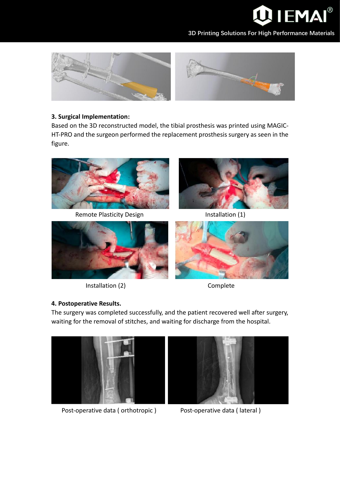

**3D Printing Solutions For High Performance Materials**





## **3. Surgical Implementation:**

Based on the 3D reconstructed model, the tibial prosthesis was printed using MAGIC-HT-PRO and the surgeon performed the replacement prosthesis surgery as seen in the figure.



Remote Plasticity Design Installation (1)





Installation (2) Complete



# **4. Postoperative Results.**

The surgery was completed successfully, and the patient recovered well after surgery, waiting for the removal of stitches, and waiting for discharge from the hospital.



Post-operative data ( orthotropic ) Post-operative data ( lateral )

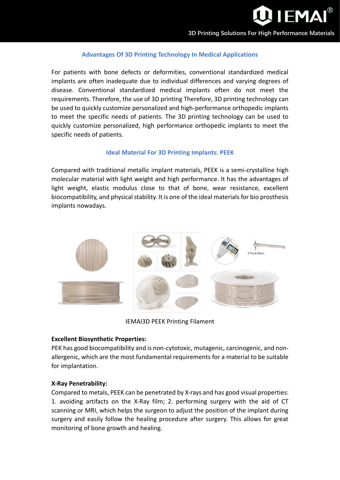

## **Advantages Of 3D Printing Technology In Medical Applications**

For patients with bone defects or deformities, conventional standardized medical implants are often inadequate due to individual differences and varying degrees of disease. Conventional standardized medical implants often do not meet the requirements. Therefore, the use of 3D printing Therefore, 3D printing technology can be used to quickly customize personalized and high-performance orthopedic implants to meet the specific needs of patients. The 3D printing technology can be used to quickly customize personalized, high performance orthopedic implants to meet the specific needs of patients.

#### **Ideal Material For 3D Printing Implants: PEEK**

Compared with traditional metallic implant materials, PEEK is a semi-crystalline high molecular material with light weight and high performance. It has the advantages of light weight, elastic modulus close to that of bone, wear resistance, excellent biocompatibility, and physical stability. It is one of the ideal materials for bio prosthesis implants nowadays.



IEMAI3D PEEK Printing Filament

## **Excellent Biosynthetic Properties:**

PEK has good biocompatibility and is non-cytotoxic, mutagenic, carcinogenic, and nonallergenic, which are the most fundamental requirements for a material to be suitable for implantation.

## **X-Ray Penetrability:**

Compared to metals, PEEK can be penetrated by X-rays and has good visual properties: 1. avoiding artifacts on the X-Ray film; 2. performing surgery with the aid of CT scanning or MRI, which helps the surgeon to adjust the position of the implant during surgery and easily follow the healing procedure after surgery. This allows for great monitoring of bone growth and healing.